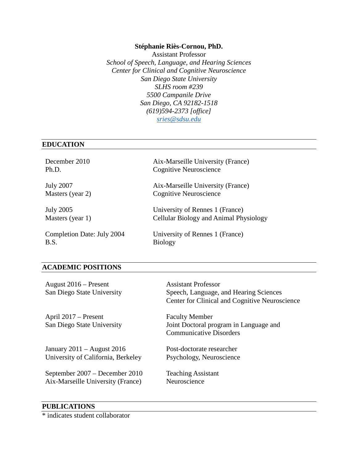#### **Stéphanie Riès-Cornou, PhD.**

Assistant Professor *School of Speech, Language, and Hearing Sciences Center for Clinical and Cognitive Neuroscience San Diego State University SLHS room #239 5500 Campanile Drive San Diego, CA 92182-1518 (619)594-2373 [office] [sries@sdsu.edu](mailto:sries@sdsu.edu)*

#### **EDUCATION**

B.S. Biology

December 2010 Aix-Marseille University (France) Ph.D. Cognitive Neuroscience

July 2007 Aix-Marseille University (France) Masters (year 2) Cognitive Neuroscience

July 2005 University of Rennes 1 (France) Masters (year 1) Cellular Biology and Animal Physiology

Completion Date: July 2004 University of Rennes 1 (France)

#### **ACADEMIC POSITIONS**

| August $2016$ – Present<br>San Diego State University                                                                                   | <b>Assistant Professor</b><br>Speech, Language, and Hearing Sciences<br>Center for Clinical and Cognitive Neuroscience |
|-----------------------------------------------------------------------------------------------------------------------------------------|------------------------------------------------------------------------------------------------------------------------|
| April $2017$ – Present<br>San Diego State University                                                                                    | <b>Faculty Member</b><br>Joint Doctoral program in Language and<br><b>Communicative Disorders</b>                      |
| January 2011 – August 2016<br>University of California, Berkeley<br>September 2007 – December 2010<br>Aix-Marseille University (France) | Post-doctorate researcher<br>Psychology, Neuroscience<br><b>Teaching Assistant</b><br>Neuroscience                     |

### **PUBLICATIONS**

\* indicates student collaborator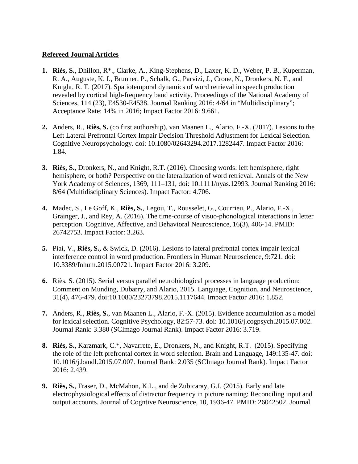### **Refereed Journal Articles**

- **1. Riès, S.**, Dhillon, R\*., Clarke, A., King-Stephens, D., Laxer, K. D., Weber, P. B., Kuperman, R. A., Auguste, K. I., Brunner, P., Schalk, G., Parvizi, J., Crone, N., Dronkers, N. F., and Knight, R. T. (2017). Spatiotemporal dynamics of word retrieval in speech production revealed by cortical high-frequency band activity. Proceedings of the National Academy of Sciences, 114 (23), E4530-E4538. Journal Ranking 2016: 4/64 in "Multidisciplinary"; Acceptance Rate: 14% in 2016; Impact Factor 2016: 9.661.
- **2.** Anders, R., **Riès, S.** (co first authorship), van Maanen L., Alario, F.-X. (2017). Lesions to the Left Lateral Prefrontal Cortex Impair Decision Threshold Adjustment for Lexical Selection. Cognitive Neuropsychology. doi: 10.1080/02643294.2017.1282447. Impact Factor 2016: 1.84.
- **3. Riès, S.**, Dronkers, N., and Knight, R.T. (2016). Choosing words: left hemisphere, right hemisphere, or both? Perspective on the lateralization of word retrieval. Annals of the New York Academy of Sciences, 1369, 111–131, doi: 10.1111/nyas.12993. Journal Ranking 2016: 8/64 (Multidisciplinary Sciences). Impact Factor: 4.706.
- **4.** Madec, S., Le Goff, K., **Riès, S.**, Legou, T., Rousselet, G., Courrieu, P., Alario, F.-X., Grainger, J., and Rey, A. (2016). The time-course of visuo-phonological interactions in letter perception. Cognitive, Affective, and Behavioral Neuroscience, 16(3), 406-14. PMID: 26742753. Impact Factor: 3.263.
- **5.** Piai, V., **Riès, S.,** & Swick, D. (2016). Lesions to lateral prefrontal cortex impair lexical interference control in word production. Frontiers in Human Neuroscience, 9:721. doi: 10.3389/fnhum.2015.00721. Impact Factor 2016: 3.209.
- **6.** Riès, S. (2015). Serial versus parallel neurobiological processes in language production: Comment on Munding, Dubarry, and Alario, 2015. Language, Cognition, and Neuroscience, 31(4), 476-479. doi:10.1080/23273798.2015.1117644. Impact Factor 2016: 1.852.
- **7.** Anders, R., **Riès, S.**, van Maanen L., Alario, F.-X. (2015). Evidence accumulation as a model for lexical selection. Cognitive Psychology, 82:57-73. doi: 10.1016/j.cogpsych.2015.07.002. Journal Rank: 3.380 (SCImago Journal Rank). Impact Factor 2016: 3.719.
- **8. Riès, S.**, Karzmark, C.\*, Navarrete, E., Dronkers, N., and Knight, R.T. (2015). Specifying the role of the left prefrontal cortex in word selection. Brain and Language, 149:135-47. doi: 10.1016/j.bandl.2015.07.007. Journal Rank: 2.035 (SCImago Journal Rank). Impact Factor 2016: 2.439.
- **9. Riès, S.**, Fraser, D., McMahon, K.L., and de Zubicaray, G.I. (2015). Early and late electrophysiological effects of distractor frequency in picture naming: Reconciling input and output accounts. Journal of Cogntive Neuroscience, 10, 1936-47. PMID: 26042502. Journal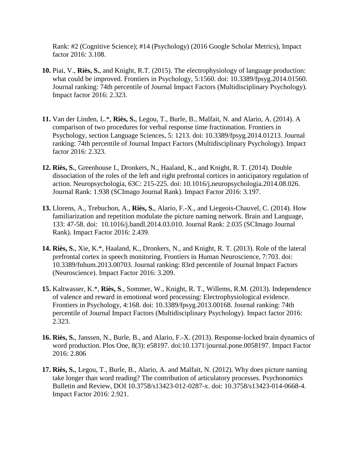Rank: #2 (Cognitive Science); #14 (Psychology) (2016 Google Scholar Metrics), Impact factor 2016: 3.108.

- **10.** Piai, V., **Riès, S.**, and Knight, R.T. (2015). The electrophysiology of language production: what could be improved. Frontiers in Psychology, 5:1560. doi: 10.3389/fpsyg.2014.01560. Journal ranking: 74th percentile of Journal Impact Factors (Multidisciplinary Psychology). Impact factor 2016: 2.323.
- **11.** Van der Linden, L.\*, **Riès, S.**, Legou, T., Burle, B., Malfait, N. and Alario, A. (2014). A comparison of two procedures for verbal response time fractionation. Frontiers in Psychology, section Language Sciences, 5: 1213. doi: 10.3389/fpsyg.2014.01213. Journal ranking: 74th percentile of Journal Impact Factors (Multidisciplinary Psychology). Impact factor 2016: 2.323.
- **12. Riès, S.**, Greenhouse I., Dronkers, N., Haaland, K., and Knight, R. T. (2014). Double dissociation of the roles of the left and right prefrontal cortices in anticipatory regulation of action. Neuropsychologia, 63C: 215-225. doi: 10.1016/j.neuropsychologia.2014.08.026. Journal Rank: 1.938 (SCImago Journal Rank). Impact Factor 2016: 3.197.
- **13.** Llorens, A., Trebuchon, A., **Riès, S.**, Alario, F.-X., and Liegeois-Chauvel, C. (2014). How familiarization and repetition modulate the picture naming network. Brain and Language, 133: 47-58. doi: 10.1016/j.bandl.2014.03.010. Journal Rank: 2.035 (SCImago Journal Rank). Impact Factor 2016: 2.439.
- **14. Riès, S.**, Xie, K.\*, Haaland, K., Dronkers, N., and Knight, R. T. (2013). Role of the lateral prefrontal cortex in speech monitoring. Frontiers in Human Neuroscience, 7:703. doi: 10.3389/fnhum.2013.00703. Journal ranking: 83rd percentile of Journal Impact Factors (Neuroscience). Impact Factor 2016: 3.209.
- **15.** Kaltwasser, K.\*, **Riès, S**., Sommer, W., Knight, R. T., Willems, R.M. (2013). Independence of valence and reward in emotional word processing: Electrophysiological evidence. Frontiers in Psychology, 4:168. doi: 10.3389/fpsyg.2013.00168. Journal ranking: 74th percentile of Journal Impact Factors (Multidisciplinary Psychology). Impact factor 2016: 2.323.
- **16. Riès, S.**, Janssen, N., Burle, B., and Alario, F.-X. (2013). Response-locked brain dynamics of word production. Plos One, 8(3): e58197. doi:10.1371/journal.pone.0058197. Impact Factor 2016: 2.806
- **17. Riès, S.**, Legou, T., Burle, B., Alario, A. and Malfait, N. (2012). Why does picture naming take longer than word reading? The contribution of articulatory processes. Psychonomics Bulletin and Review, DOI 10.3758/s13423-012-0287-x. doi: 10.3758/s13423-014-0668-4. Impact Factor 2016: 2.921.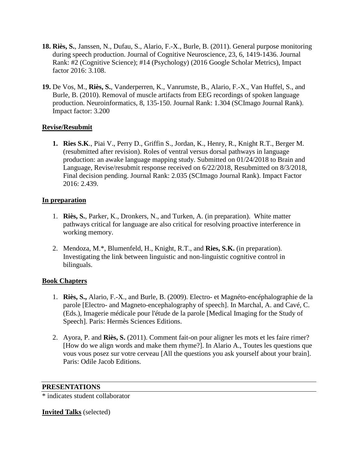- **18. Riès, S.**, Janssen, N., Dufau, S., Alario, F.-X., Burle, B. (2011). General purpose monitoring during speech production. Journal of Cognitive Neuroscience, 23, 6, 1419-1436. Journal Rank: #2 (Cognitive Science); #14 (Psychology) (2016 Google Scholar Metrics), Impact factor 2016: 3.108.
- **19.** De Vos, M., **Riès, S.**, Vanderperren, K., Vanrumste, B., Alario, F.-X., Van Huffel, S., and Burle, B. (2010). Removal of muscle artifacts from EEG recordings of spoken language production. Neuroinformatics, 8, 135-150. Journal Rank: 1.304 (SCImago Journal Rank). Impact factor: 3.200

# **Revise/Resubmit**

**1. Ries S.K**., Piai V., Perry D., Griffin S., Jordan, K., Henry, R., Knight R.T., Berger M. (resubmitted after revision). Roles of ventral versus dorsal pathways in language production: an awake language mapping study. Submitted on 01/24/2018 to Brain and Language, Revise/resubmit response received on 6/22/2018, Resubmitted on 8/3/2018, Final decision pending. Journal Rank: 2.035 (SCImago Journal Rank). Impact Factor 2016: 2.439.

### **In preparation**

- 1. **Riès, S.**, Parker, K., Dronkers, N., and Turken, A. (in preparation). White matter pathways critical for language are also critical for resolving proactive interference in working memory.
- 2. Mendoza, M.\*, Blumenfeld, H., Knight, R.T., and **Ries, S.K.** (in preparation). Investigating the link between linguistic and non-linguistic cognitive control in bilinguals.

# **Book Chapters**

- 1. **Riès, S.,** Alario, F.-X., and Burle, B. (2009). Electro- et Magnéto-encéphalographie de la parole [Electro- and Magneto-encephalography of speech]. In Marchal, A. and Cavé, C. (Eds.), Imagerie médicale pour l'étude de la parole [Medical Imaging for the Study of Speech]. Paris: Hermès Sciences Editions.
- 2. Ayora, P. and **Riès, S.** (2011). Comment fait-on pour aligner les mots et les faire rimer? [How do we align words and make them rhyme?]. In Alario A., Toutes les questions que vous vous posez sur votre cerveau [All the questions you ask yourself about your brain]. Paris: Odile Jacob Editions.

#### **PRESENTATIONS**

\* indicates student collaborator

### **Invited Talks** (selected)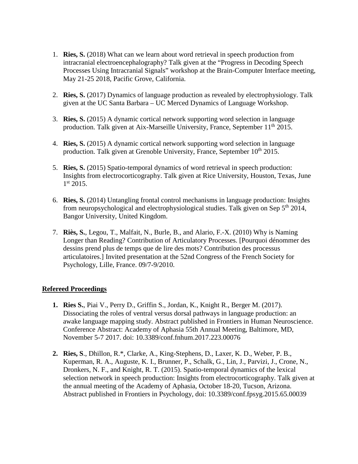- 1. **Ries, S.** (2018) What can we learn about word retrieval in speech production from intracranial electroencephalography? Talk given at the "Progress in Decoding Speech Processes Using Intracranial Signals" workshop at the Brain-Computer Interface meeting, May 21-25 2018, Pacific Grove, California.
- 2. **Ries, S.** (2017) Dynamics of language production as revealed by electrophysiology. Talk given at the UC Santa Barbara – UC Merced Dynamics of Language Workshop.
- 3. **Ries, S.** (2015) A dynamic cortical network supporting word selection in language production. Talk given at Aix-Marseille University, France, September 11<sup>th</sup> 2015.
- 4. **Ries, S.** (2015) A dynamic cortical network supporting word selection in language production. Talk given at Grenoble University, France, September  $10<sup>th</sup> 2015$ .
- 5. **Ries, S.** (2015) Spatio-temporal dynamics of word retrieval in speech production: Insights from electrocorticography. Talk given at Rice University, Houston, Texas, June  $1<sup>st</sup> 2015.$
- 6. **Ries, S.** (2014) Untangling frontal control mechanisms in language production: Insights from neuropsychological and electrophysiological studies. Talk given on Sep  $5<sup>th</sup> 2014$ , Bangor University, United Kingdom.
- 7. **Riès, S.**, Legou, T., Malfait, N., Burle, B., and Alario, F.-X. (2010) Why is Naming Longer than Reading? Contribution of Articulatory Processes. [Pourquoi dénommer des dessins prend plus de temps que de lire des mots? Contribution des processus articulatoires.] Invited presentation at the 52nd Congress of the French Society for Psychology, Lille, France. 09/7-9/2010.

### **Refereed Proceedings**

- **1. Ries S.**, Piai V., Perry D., Griffin S., Jordan, K., Knight R., Berger M. (2017). Dissociating the roles of ventral versus dorsal pathways in language production: an awake language mapping study. Abstract published in Frontiers in Human Neuroscience. Conference Abstract: Academy of Aphasia 55th Annual Meeting, Baltimore, MD, November 5-7 2017. doi: 10.3389/conf.fnhum.2017.223.00076
- **2. Ries, S**., Dhillon, R.\*, Clarke, A., King-Stephens, D., Laxer, K. D., Weber, P. B., Kuperman, R. A., Auguste, K. I., Brunner, P., Schalk, G., Lin, J., Parvizi, J., Crone, N., Dronkers, N. F., and Knight, R. T. (2015). Spatio-temporal dynamics of the lexical selection network in speech production: Insights from electrocorticography. Talk given at the annual meeting of the Academy of Aphasia, October 18-20, Tucson, Arizona. Abstract published in Frontiers in Psychology, doi: 10.3389/conf.fpsyg.2015.65.00039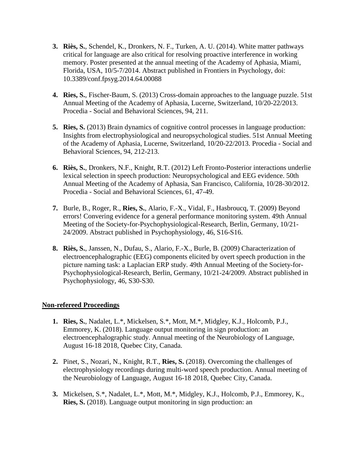- **3. Riès, S.**, Schendel, K., Dronkers, N. F., Turken, A. U. (2014). White matter pathways critical for language are also critical for resolving proactive interference in working memory. Poster presented at the annual meeting of the Academy of Aphasia, Miami, Florida, USA, 10/5-7/2014. Abstract published in Frontiers in Psychology, doi: 10.3389/conf.fpsyg.2014.64.00088
- **4. Ries, S.**, Fischer-Baum, S. (2013) Cross-domain approaches to the language puzzle. 51st Annual Meeting of the Academy of Aphasia, Lucerne, Switzerland, 10/20-22/2013. Procedia - Social and Behavioral Sciences, 94, 211.
- **5. Ries, S.** (2013) Brain dynamics of cognitive control processes in language production: Insights from electrophysiological and neuropsychological studies. 51st Annual Meeting of the Academy of Aphasia, Lucerne, Switzerland, 10/20-22/2013. Procedia - Social and Behavioral Sciences, 94, 212-213.
- **6. Riès, S.**, Dronkers, N.F., Knight, R.T. (2012) Left Fronto-Posterior interactions underlie lexical selection in speech production: Neuropsychological and EEG evidence. 50th Annual Meeting of the Academy of Aphasia, San Francisco, California, 10/28-30/2012. Procedia - Social and Behavioral Sciences, 61, 47-49.
- **7.** Burle, B., Roger, R., **Ries, S.**, Alario, F.-X., Vidal, F., Hasbroucq, T. (2009) Beyond errors! Convering evidence for a general performance monitoring system. 49th Annual Meeting of the Society-for-Psychophysiological-Research, Berlin, Germany, 10/21- 24/2009. Abstract published in Psychophysiology, 46, S16-S16.
- **8. Riès, S.**, Janssen, N., Dufau, S., Alario, F.-X., Burle, B. (2009) Characterization of electroencephalographic (EEG) components elicited by overt speech production in the picture naming task: a Laplacian ERP study. 49th Annual Meeting of the Society-for-Psychophysiological-Research, Berlin, Germany, 10/21-24/2009. Abstract published in Psychophysiology, 46, S30-S30.

#### **Non-refereed Proceedings**

- **1. Ries, S.**, Nadalet, L.\*, Mickelsen, S.\*, Mott, M.\*, Midgley, K.J., Holcomb, P.J., Emmorey, K. (2018). Language output monitoring in sign production: an electroencephalographic study. Annual meeting of the Neurobiology of Language, August 16-18 2018, Quebec City, Canada.
- **2.** Pinet, S., Nozari, N., Knight, R.T., **Ries, S.** (2018). Overcoming the challenges of electrophysiology recordings during multi-word speech production. Annual meeting of the Neurobiology of Language, August 16-18 2018, Quebec City, Canada.
- **3.** Mickelsen, S.\*, Nadalet, L.\*, Mott, M.\*, Midgley, K.J., Holcomb, P.J., Emmorey, K., **Ries, S.** (2018). Language output monitoring in sign production: an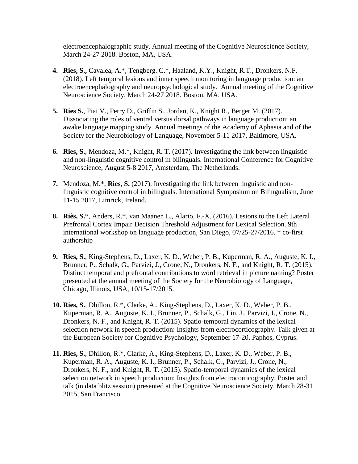electroencephalographic study. Annual meeting of the Cognitive Neuroscience Society, March 24-27 2018. Boston, MA, USA.

- **4. Ries, S.,** Cavalea, A.\*, Tengberg, C.\*, Haaland, K.Y., Knight, R.T., Dronkers, N.F. (2018). Left temporal lesions and inner speech monitoring in language production: an electroencephalography and neuropsychological study. Annual meeting of the Cognitive Neuroscience Society, March 24-27 2018. Boston, MA, USA.
- **5. Ries S.**, Piai V., Perry D., Griffin S., Jordan, K., Knight R., Berger M. (2017). Dissociating the roles of ventral versus dorsal pathways in language production: an awake language mapping study. Annual meetings of the Academy of Aphasia and of the Society for the Neurobiology of Language, November 5-11 2017, Baltimore, USA.
- **6. Ries, S.**, Mendoza, M.\*, Knight, R. T. (2017). Investigating the link between linguistic and non-linguistic cognitive control in bilinguals. International Conference for Cognitive Neuroscience, August 5-8 2017, Amsterdam, The Netherlands.
- **7.** Mendoza, M.\*, **Ries, S.** (2017). Investigating the link between linguistic and nonlinguistic cognitive control in bilinguals. International Symposium on Bilingualism, June 11-15 2017, Limrick, Ireland.
- **8. Riès, S.**\*, Anders, R.\*, van Maanen L., Alario, F.-X. (2016). Lesions to the Left Lateral Prefrontal Cortex Impair Decision Threshold Adjustment for Lexical Selection. 9th international workshop on language production, San Diego, 07/25-27/2016. \* co-first authorship
- **9. Ries, S.**, King-Stephens, D., Laxer, K. D., Weber, P. B., Kuperman, R. A., Auguste, K. I., Brunner, P., Schalk, G., Parvizi, J., Crone, N., Dronkers, N. F., and Knight, R. T. (2015). Distinct temporal and prefrontal contributions to word retrieval in picture naming? Poster presented at the annual meeting of the Society for the Neurobiology of Language, Chicago, Illinois, USA, 10/15-17/2015.
- **10. Ries, S.**, Dhillon, R.\*, Clarke, A., King-Stephens, D., Laxer, K. D., Weber, P. B., Kuperman, R. A., Auguste, K. I., Brunner, P., Schalk, G., Lin, J., Parvizi, J., Crone, N., Dronkers, N. F., and Knight, R. T. (2015). Spatio-temporal dynamics of the lexical selection network in speech production: Insights from electrocorticography. Talk given at the European Society for Cognitive Psychology, September 17-20, Paphos, Cyprus.
- **11. Ries, S.**, Dhillon, R.\*, Clarke, A., King-Stephens, D., Laxer, K. D., Weber, P. B., Kuperman, R. A., Auguste, K. I., Brunner, P., Schalk, G., Parvizi, J., Crone, N., Dronkers, N. F., and Knight, R. T. (2015). Spatio-temporal dynamics of the lexical selection network in speech production: Insights from electrocorticography. Poster and talk (in data blitz session) presented at the Cognitive Neuroscience Society, March 28-31 2015, San Francisco.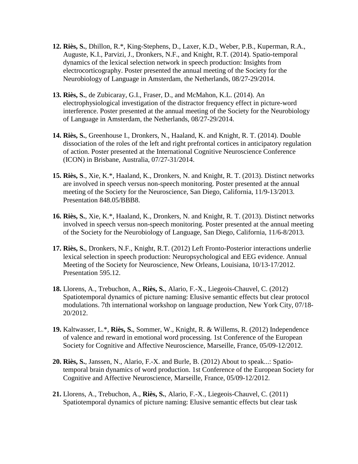- **12. Riès, S.**, Dhillon, R.\*, King-Stephens, D., Laxer, K.D., Weber, P.B., Kuperman, R.A., Auguste, K.I., Parvizi, J., Dronkers, N.F., and Knight, R.T. (2014). Spatio-temporal dynamics of the lexical selection network in speech production: Insights from electrocorticography. Poster presented the annual meeting of the Society for the Neurobiology of Language in Amsterdam, the Netherlands, 08/27-29/2014.
- **13. Riès, S.**, de Zubicaray, G.I., Fraser, D., and McMahon, K.L. (2014). An electrophysiological investigation of the distractor frequency effect in picture-word interference. Poster presented at the annual meeting of the Society for the Neurobiology of Language in Amsterdam, the Netherlands, 08/27-29/2014.
- **14. Riès, S.**, Greenhouse I., Dronkers, N., Haaland, K. and Knight, R. T. (2014). Double dissociation of the roles of the left and right prefrontal cortices in anticipatory regulation of action. Poster presented at the International Cognitive Neuroscience Conference (ICON) in Brisbane, Australia, 07/27-31/2014.
- **15. Riès, S**., Xie, K.\*, Haaland, K., Dronkers, N. and Knight, R. T. (2013). Distinct networks are involved in speech versus non-speech monitoring. Poster presented at the annual meeting of the Society for the Neuroscience, San Diego, California, 11/9-13/2013. Presentation 848.05/BBB8.
- **16. Riès, S.**, Xie, K.\*, Haaland, K., Dronkers, N. and Knight, R. T. (2013). Distinct networks involved in speech versus non-speech monitoring. Poster presented at the annual meeting of the Society for the Neurobiology of Language, San Diego, California, 11/6-8/2013.
- **17. Riès, S.**, Dronkers, N.F., Knight, R.T. (2012) Left Fronto-Posterior interactions underlie lexical selection in speech production: Neuropsychological and EEG evidence. Annual Meeting of the Society for Neuroscience, New Orleans, Louisiana, 10/13-17/2012. Presentation 595.12.
- **18.** Llorens, A., Trebuchon, A., **Riès, S.**, Alario, F.-X., Liegeois-Chauvel, C. (2012) Spatiotemporal dynamics of picture naming: Elusive semantic effects but clear protocol modulations. 7th international workshop on language production, New York City, 07/18- 20/2012.
- **19.** Kaltwasser, L.\*, **Riès, S.**, Sommer, W., Knight, R. & Willems, R. (2012) Independence of valence and reward in emotional word processing. 1st Conference of the European Society for Cognitive and Affective Neuroscience, Marseille, France, 05/09-12/2012.
- **20. Riès, S.**, Janssen, N., Alario, F.-X. and Burle, B. (2012) About to speak...: Spatiotemporal brain dynamics of word production. 1st Conference of the European Society for Cognitive and Affective Neuroscience, Marseille, France, 05/09-12/2012.
- **21.** Llorens, A., Trebuchon, A., **Riès, S.**, Alario, F.-X., Liegeois-Chauvel, C. (2011) Spatiotemporal dynamics of picture naming: Elusive semantic effects but clear task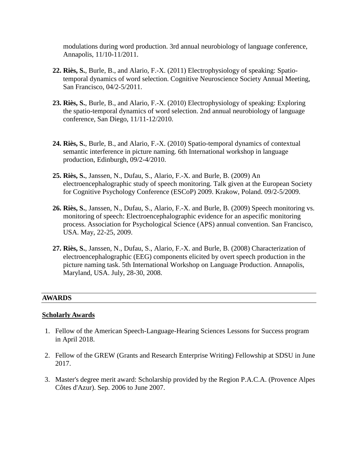modulations during word production. 3rd annual neurobiology of language conference, Annapolis, 11/10-11/2011.

- **22. Riès, S.**, Burle, B., and Alario, F.-X. (2011) Electrophysiology of speaking: Spatiotemporal dynamics of word selection. Cognitive Neuroscience Society Annual Meeting, San Francisco, 04/2-5/2011.
- **23. Riès, S.**, Burle, B., and Alario, F.-X. (2010) Electrophysiology of speaking: Exploring the spatio-temporal dynamics of word selection. 2nd annual neurobiology of language conference, San Diego, 11/11-12/2010.
- **24. Riès, S.**, Burle, B., and Alario, F.-X. (2010) Spatio-temporal dynamics of contextual semantic interference in picture naming. 6th International workshop in language production, Edinburgh, 09/2-4/2010.
- **25. Riès, S.**, Janssen, N., Dufau, S., Alario, F.-X. and Burle, B. (2009) An electroencephalographic study of speech monitoring. Talk given at the European Society for Cognitive Psychology Conference (ESCoP) 2009. Krakow, Poland. 09/2-5/2009.
- **26. Riès, S.**, Janssen, N., Dufau, S., Alario, F.-X. and Burle, B. (2009) Speech monitoring vs. monitoring of speech: Electroencephalographic evidence for an aspecific monitoring process. Association for Psychological Science (APS) annual convention. San Francisco, USA. May, 22-25, 2009.
- **27. Riès, S.**, Janssen, N., Dufau, S., Alario, F.-X. and Burle, B. (2008) Characterization of electroencephalographic (EEG) components elicited by overt speech production in the picture naming task. 5th International Workshop on Language Production. Annapolis, Maryland, USA. July, 28-30, 2008.

#### **AWARDS**

#### **Scholarly Awards**

- 1. Fellow of the American Speech-Language-Hearing Sciences Lessons for Success program in April 2018.
- 2. Fellow of the GREW (Grants and Research Enterprise Writing) Fellowship at SDSU in June 2017.
- 3. Master's degree merit award: Scholarship provided by the Region P.A.C.A. (Provence Alpes Côtes d'Azur). Sep. 2006 to June 2007.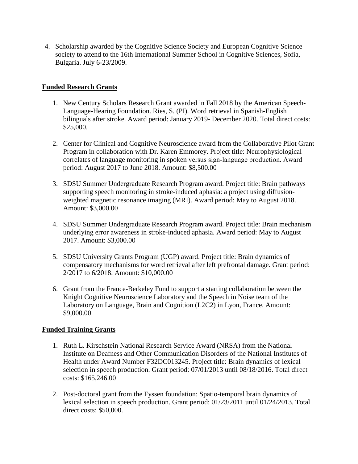4. Scholarship awarded by the Cognitive Science Society and European Cognitive Science society to attend to the 16th International Summer School in Cognitive Sciences, Sofia, Bulgaria. July 6-23/2009.

## **Funded Research Grants**

- 1. New Century Scholars Research Grant awarded in Fall 2018 by the American Speech-Language-Hearing Foundation. Ries, S. (PI). Word retrieval in Spanish-English bilinguals after stroke. Award period: January 2019- December 2020. Total direct costs: \$25,000.
- 2. Center for Clinical and Cognitive Neuroscience award from the Collaborative Pilot Grant Program in collaboration with Dr. Karen Emmorey. Project title: Neurophysiological correlates of language monitoring in spoken versus sign-language production. Award period: August 2017 to June 2018. Amount: \$8,500.00
- 3. SDSU Summer Undergraduate Research Program award. Project title: Brain pathways supporting speech monitoring in stroke-induced aphasia: a project using diffusionweighted magnetic resonance imaging (MRI). Award period: May to August 2018. Amount: \$3,000.00
- 4. SDSU Summer Undergraduate Research Program award. Project title: Brain mechanism underlying error awareness in stroke-induced aphasia. Award period: May to August 2017. Amount: \$3,000.00
- 5. SDSU University Grants Program (UGP) award. Project title: Brain dynamics of compensatory mechanisms for word retrieval after left prefrontal damage. Grant period: 2/2017 to 6/2018. Amount: \$10,000.00
- 6. Grant from the France-Berkeley Fund to support a starting collaboration between the Knight Cognitive Neuroscience Laboratory and the Speech in Noise team of the Laboratory on Language, Brain and Cognition (L2C2) in Lyon, France. Amount: \$9,000.00

### **Funded Training Grants**

- 1. Ruth L. Kirschstein National Research Service Award (NRSA) from the National Institute on Deafness and Other Communication Disorders of the National Institutes of Health under Award Number F32DC013245. Project title: Brain dynamics of lexical selection in speech production. Grant period: 07/01/2013 until 08/18/2016. Total direct costs: \$165,246.00
- 2. Post-doctoral grant from the Fyssen foundation: Spatio-temporal brain dynamics of lexical selection in speech production. Grant period: 01/23/2011 until 01/24/2013. Total direct costs: \$50,000.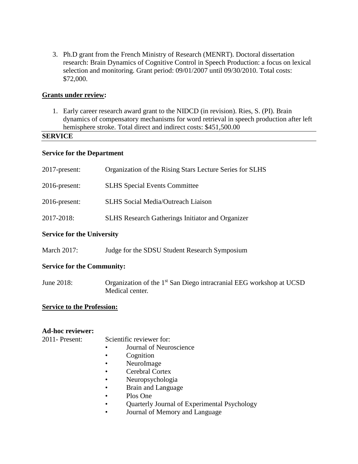3. Ph.D grant from the French Ministry of Research (MENRT). Doctoral dissertation research: Brain Dynamics of Cognitive Control in Speech Production: a focus on lexical selection and monitoring. Grant period: 09/01/2007 until 09/30/2010. Total costs: \$72,000.

### **Grants under review:**

1. Early career research award grant to the NIDCD (in revision). Ries, S. (PI). Brain dynamics of compensatory mechanisms for word retrieval in speech production after left hemisphere stroke. Total direct and indirect costs: \$451,500.00

### **SERVICE**

#### **Service for the Department**

| 2017-present:                     | Organization of the Rising Stars Lecture Series for SLHS                                           |  |
|-----------------------------------|----------------------------------------------------------------------------------------------------|--|
| 2016-present:                     | <b>SLHS</b> Special Events Committee                                                               |  |
| 2016-present:                     | <b>SLHS</b> Social Media/Outreach Liaison                                                          |  |
| 2017-2018:                        | <b>SLHS Research Gatherings Initiator and Organizer</b>                                            |  |
| <b>Service for the University</b> |                                                                                                    |  |
| March 2017:                       | Judge for the SDSU Student Research Symposium                                                      |  |
| <b>Service for the Community:</b> |                                                                                                    |  |
| June 2018:                        | Organization of the 1 <sup>st</sup> San Diego intracranial EEG workshop at UCSD<br>Medical center. |  |
| <b>Service to the Profession:</b> |                                                                                                    |  |
| <b>Ad-hoc reviewer:</b>           |                                                                                                    |  |
| 2011- Present:                    | Scientific reviewer for:<br>Journal of Neuroscience<br>Cognition<br>٠                              |  |
|                                   | NeuroImage                                                                                         |  |
|                                   | Cerebral Cortex                                                                                    |  |

- Neuropsychologia
- Brain and Language
- Plos One
- Quarterly Journal of Experimental Psychology
- Journal of Memory and Language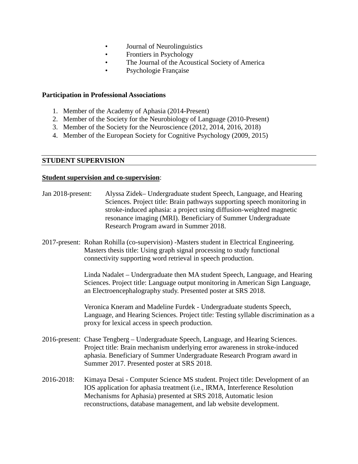- Journal of Neurolinguistics
- Frontiers in Psychology
- The Journal of the Acoustical Society of America
- Psychologie Française

### **Participation in Professional Associations**

- 1. Member of the Academy of Aphasia (2014-Present)
- 2. Member of the Society for the Neurobiology of Language (2010-Present)
- 3. Member of the Society for the Neuroscience (2012, 2014, 2016, 2018)
- 4. Member of the European Society for Cognitive Psychology (2009, 2015)

### **STUDENT SUPERVISION**

### **Student supervision and co-supervision**:

| Jan 2018-present: | Alyssa Zidek– Undergraduate student Speech, Language, and Hearing<br>Sciences. Project title: Brain pathways supporting speech monitoring in<br>stroke-induced aphasia: a project using diffusion-weighted magnetic<br>resonance imaging (MRI). Beneficiary of Summer Undergraduate<br>Research Program award in Summer 2018. |
|-------------------|-------------------------------------------------------------------------------------------------------------------------------------------------------------------------------------------------------------------------------------------------------------------------------------------------------------------------------|
|                   | 2017-present: Rohan Rohilla (co-supervision) -Masters student in Electrical Engineering.<br>Masters thesis title: Using graph signal processing to study functional<br>connectivity supporting word retrieval in speech production.                                                                                           |
|                   | Linda Nadalet – Undergraduate then MA student Speech, Language, and Hearing<br>Sciences. Project title: Language output monitoring in American Sign Language,<br>an Electroencephalography study. Presented poster at SRS 2018.                                                                                               |
|                   | Veronica Kneram and Madeline Furdek - Undergraduate students Speech,<br>Language, and Hearing Sciences. Project title: Testing syllable discrimination as a<br>proxy for lexical access in speech production.                                                                                                                 |
|                   | 2016-present: Chase Tengberg – Undergraduate Speech, Language, and Hearing Sciences.<br>Project title: Brain mechanism underlying error awareness in stroke-induced<br>aphasia. Beneficiary of Summer Undergraduate Research Program award in<br>Summer 2017. Presented poster at SRS 2018.                                   |
| 2016-2018:        | Kimaya Desai - Computer Science MS student. Project title: Development of an<br>IOS application for aphasia treatment (i.e., IRMA, Interference Resolution<br>Mechanisms for Aphasia) presented at SRS 2018, Automatic lesion<br>reconstructions, database management, and lab website development.                           |